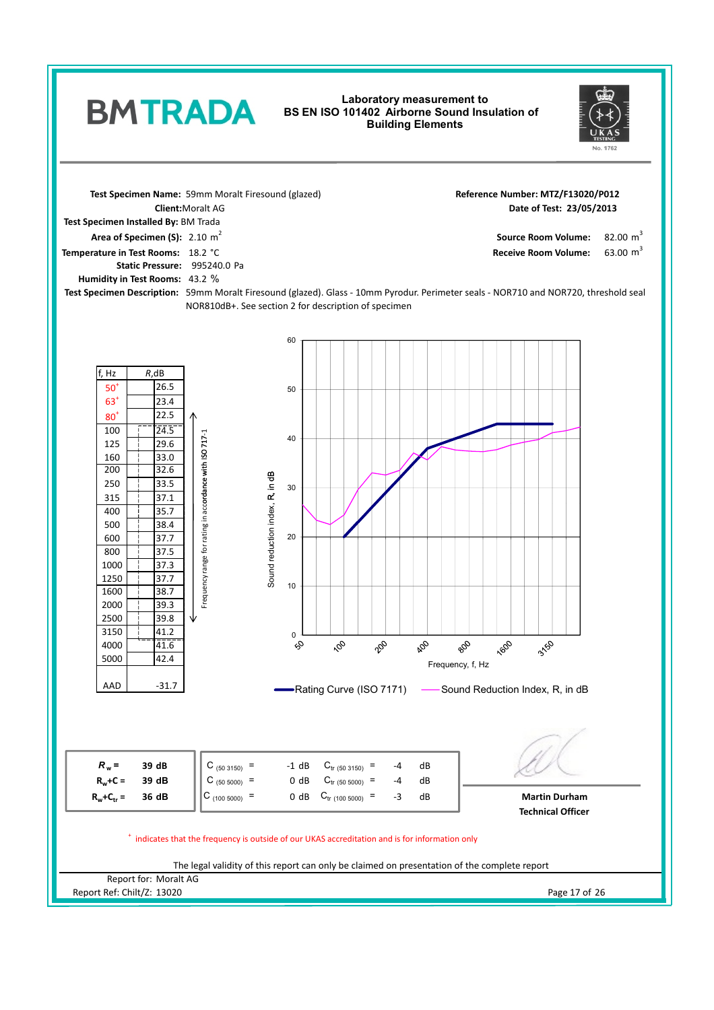## **Laboratory measurement to**  Eaboratory measurement to<br>BMTRADA BS EN ISO 101402 Airborne Sound Insulation of **Building Elements**



82.00  $m^3$ 

63.00  $m^3$ 

Receive Room Volume:

Reference Number: MTZ/F13020/P012

**Test Specimen Name: Date of Test: Client:**Moralt AG **23/05/2013** 2.10 m 2 **Area of Specimen (S): Source Room Volume: Test Specimen Installed By:** BM Trada **Temperature in Test Rooms:** 18.2 °C

Static Pressure: 995240.0 Pa 43.2 % **Humidity in Test Rooms:**

**Test Specimen Description:** 59mm Moralt Firesound (glazed). Glass - 10mm Pyrodur. Perimeter seals - NOR710 and NOR720, threshold seal NOR810dB+. See section 2 for description of specimen